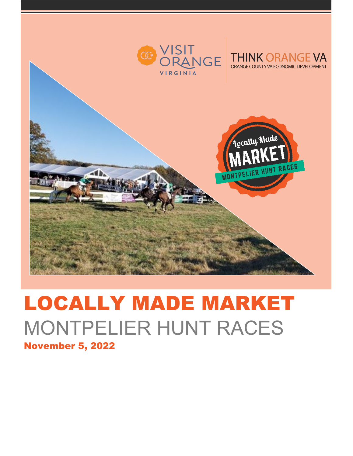

## LOCALLY MADE MARKET MONTPELIER HUNT RACES November 5, 2022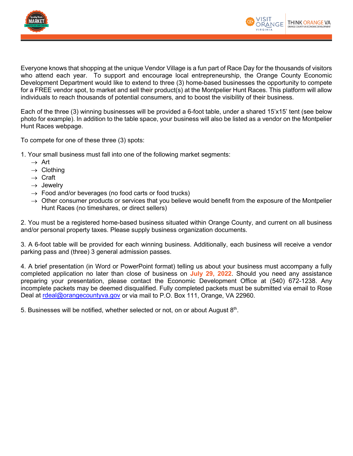



Everyone knows that shopping at the unique Vendor Village is a fun part of Race Day for the thousands of visitors who attend each year. To support and encourage local entrepreneurship, the Orange County Economic Development Department would like to extend to three (3) home-based businesses the opportunity to compete for a FREE vendor spot, to market and sell their product(s) at the Montpelier Hunt Races. This platform will allow individuals to reach thousands of potential consumers, and to boost the visibility of their business.

Each of the three (3) winning businesses will be provided a 6-foot table, under a shared 15'x15' tent (see below photo for example). In addition to the table space, your business will also be listed as a vendor on the Montpelier Hunt Races webpage.

To compete for one of these three (3) spots:

- 1. Your small business must fall into one of the following market segments:
	- $\rightarrow$  Art
	- $\rightarrow$  Clothing
	- $\rightarrow$  Craft
	- $\rightarrow$  Jewelry
	- $\rightarrow$  Food and/or beverages (no food carts or food trucks)
	- $\rightarrow$  Other consumer products or services that you believe would benefit from the exposure of the Montpelier Hunt Races (no timeshares, or direct sellers)

2. You must be a registered home-based business situated within Orange County, and current on all business and/or personal property taxes. Please supply business organization documents.

3. A 6-foot table will be provided for each winning business. Additionally, each business will receive a vendor parking pass and (three) 3 general admission passes.

4. A brief presentation (in Word or PowerPoint format) telling us about your business must accompany a fully completed application no later than close of business on **July 29, 2022**. Should you need any assistance preparing your presentation, please contact the Economic Development Office at (540) 672-1238. Any incomplete packets may be deemed disqualified. Fully completed packets must be submitted via email to Rose Deal at [rdeal@orangecountyva.gov](mailto:rdeal@orangecountyva.gov) or via mail to P.O. Box 111, Orange, VA 22960.

5. Businesses will be notified, whether selected or not, on or about August 8th.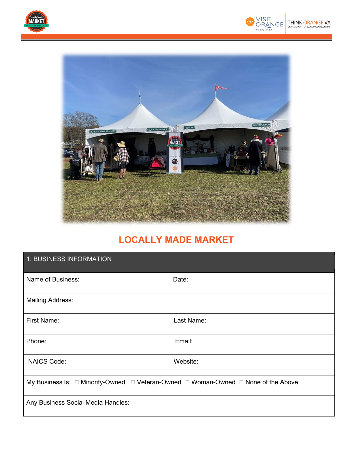





## **LOCALLY MADE MARKET**

| 1. BUSINESS INFORMATION                                                            |            |
|------------------------------------------------------------------------------------|------------|
| Name of Business:                                                                  | Date:      |
| <b>Mailing Address:</b>                                                            |            |
| <b>First Name:</b>                                                                 | Last Name: |
| Phone:                                                                             | Email:     |
| <b>NAICS Code:</b>                                                                 | Website:   |
| My Business Is: □ Minority-Owned □ Veteran-Owned □ Woman-Owned □ None of the Above |            |
| Any Business Social Media Handles:                                                 |            |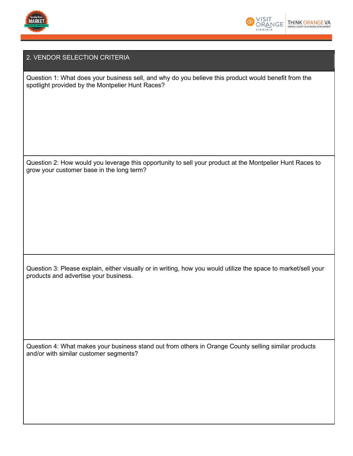



## 2. VENDOR SELECTION CRITERIA

Question 1: What does your business sell, and why do you believe this product would benefit from the spotlight provided by the Montpelier Hunt Races?

Question 2: How would you leverage this opportunity to sell your product at the Montpelier Hunt Races to grow your customer base in the long term?

Question 3: Please explain, either visually or in writing, how you would utilize the space to market/sell your products and advertise your business.

Question 4: What makes your business stand out from others in Orange County selling similar products and/or with similar customer segments?